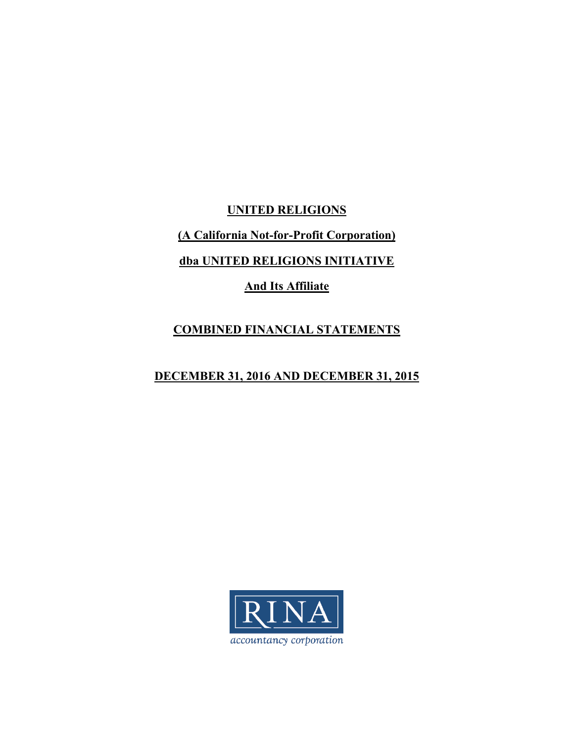**UNITED RELIGIONS (A California Not-for-Profit Corporation) dba UNITED RELIGIONS INITIATIVE And Its Affiliate** 

# **COMBINED FINANCIAL STATEMENTS**

# **DECEMBER 31, 2016 AND DECEMBER 31, 2015**

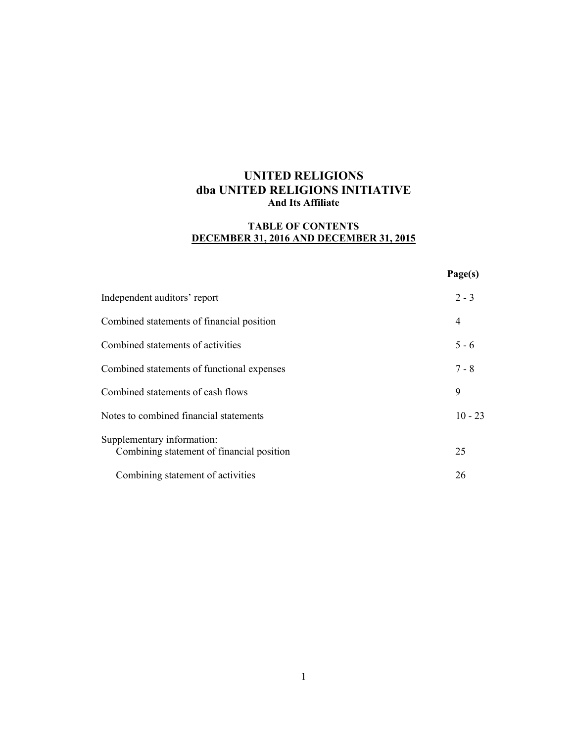## **TABLE OF CONTENTS DECEMBER 31, 2016 AND DECEMBER 31, 2015**

|                                                                         | Page(s)   |
|-------------------------------------------------------------------------|-----------|
| Independent auditors' report                                            | $2 - 3$   |
| Combined statements of financial position                               | 4         |
| Combined statements of activities                                       | $5 - 6$   |
| Combined statements of functional expenses                              | $7 - 8$   |
| Combined statements of cash flows                                       | 9         |
| Notes to combined financial statements                                  | $10 - 23$ |
| Supplementary information:<br>Combining statement of financial position | 25        |
| Combining statement of activities                                       | 26        |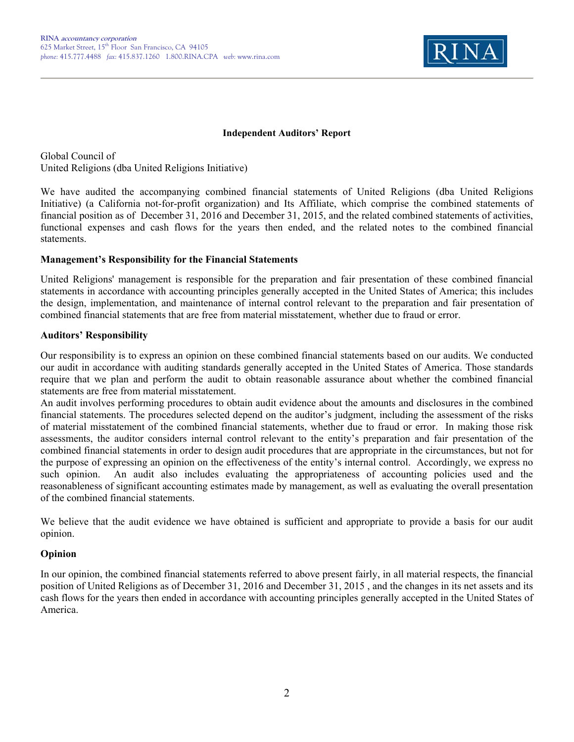

### **Independent Auditors' Report**

Global Council of United Religions (dba United Religions Initiative)

We have audited the accompanying combined financial statements of United Religions (dba United Religions Initiative) (a California not-for-profit organization) and Its Affiliate, which comprise the combined statements of financial position as of December 31, 2016 and December 31, 2015, and the related combined statements of activities, functional expenses and cash flows for the years then ended, and the related notes to the combined financial statements.

## **Management's Responsibility for the Financial Statements**

United Religions' management is responsible for the preparation and fair presentation of these combined financial statements in accordance with accounting principles generally accepted in the United States of America; this includes the design, implementation, and maintenance of internal control relevant to the preparation and fair presentation of combined financial statements that are free from material misstatement, whether due to fraud or error.

## **Auditors' Responsibility**

Our responsibility is to express an opinion on these combined financial statements based on our audits. We conducted our audit in accordance with auditing standards generally accepted in the United States of America. Those standards require that we plan and perform the audit to obtain reasonable assurance about whether the combined financial statements are free from material misstatement.

An audit involves performing procedures to obtain audit evidence about the amounts and disclosures in the combined financial statements. The procedures selected depend on the auditor's judgment, including the assessment of the risks of material misstatement of the combined financial statements, whether due to fraud or error. In making those risk assessments, the auditor considers internal control relevant to the entity's preparation and fair presentation of the combined financial statements in order to design audit procedures that are appropriate in the circumstances, but not for the purpose of expressing an opinion on the effectiveness of the entity's internal control. Accordingly, we express no such opinion. An audit also includes evaluating the appropriateness of accounting policies used and the reasonableness of significant accounting estimates made by management, as well as evaluating the overall presentation of the combined financial statements.

We believe that the audit evidence we have obtained is sufficient and appropriate to provide a basis for our audit opinion.

## **Opinion**

In our opinion, the combined financial statements referred to above present fairly, in all material respects, the financial position of United Religions as of December 31, 2016 and December 31, 2015 , and the changes in its net assets and its cash flows for the years then ended in accordance with accounting principles generally accepted in the United States of America.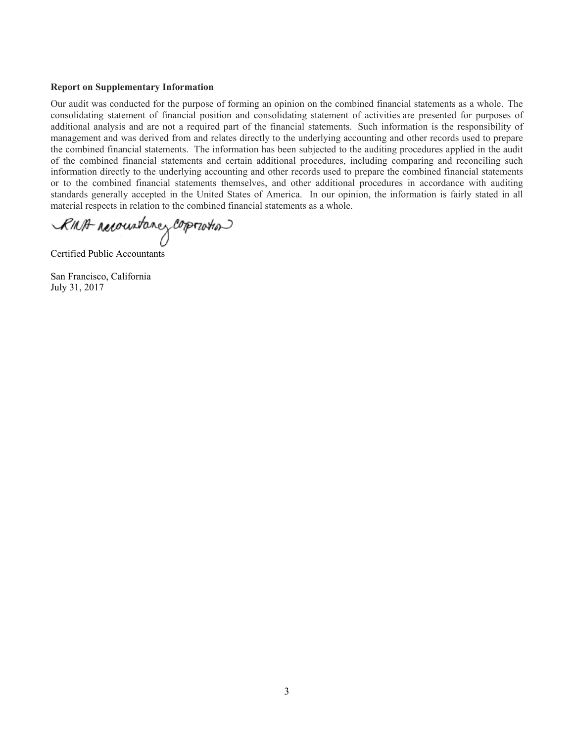#### **Report on Supplementary Information**

Our audit was conducted for the purpose of forming an opinion on the combined financial statements as a whole. The consolidating statement of financial position and consolidating statement of activities are presented for purposes of additional analysis and are not a required part of the financial statements. Such information is the responsibility of management and was derived from and relates directly to the underlying accounting and other records used to prepare the combined financial statements. The information has been subjected to the auditing procedures applied in the audit of the combined financial statements and certain additional procedures, including comparing and reconciling such information directly to the underlying accounting and other records used to prepare the combined financial statements or to the combined financial statements themselves, and other additional procedures in accordance with auditing standards generally accepted in the United States of America. In our opinion, the information is fairly stated in all material respects in relation to the combined financial statements as a whole.

RMA reconstance corporation

Certified Public Accountants

San Francisco, California July 31, 2017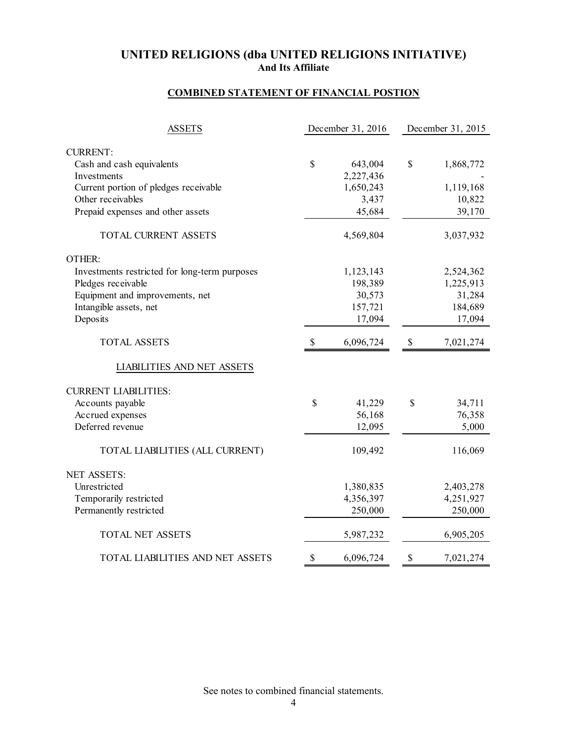## **COMBINED STATEMENT OF FINANCIAL POSTION**

| <b>ASSETS</b>                                 |                           | December 31, 2016 | December 31, 2015         |           |  |
|-----------------------------------------------|---------------------------|-------------------|---------------------------|-----------|--|
| <b>CURRENT:</b>                               |                           |                   |                           |           |  |
| Cash and cash equivalents                     | \$                        | 643,004           | \$                        | 1,868,772 |  |
| Investments                                   |                           | 2,227,436         |                           |           |  |
| Current portion of pledges receivable         |                           | 1,650,243         |                           | 1,119,168 |  |
| Other receivables                             |                           | 3,437             |                           | 10,822    |  |
| Prepaid expenses and other assets             |                           | 45,684            |                           | 39,170    |  |
| TOTAL CURRENT ASSETS                          |                           | 4,569,804         |                           | 3,037,932 |  |
| OTHER:                                        |                           |                   |                           |           |  |
| Investments restricted for long-term purposes |                           | 1,123,143         |                           | 2,524,362 |  |
| Pledges receivable                            |                           | 198,389           |                           | 1,225,913 |  |
| Equipment and improvements, net               |                           | 30,573            |                           | 31,284    |  |
| Intangible assets, net                        |                           | 157,721           |                           | 184,689   |  |
| Deposits                                      |                           | 17,094            |                           | 17,094    |  |
| <b>TOTAL ASSETS</b>                           | $\boldsymbol{\mathsf{S}}$ | 6,096,724         | $\boldsymbol{\mathsf{S}}$ | 7,021,274 |  |
| LIABILITIES AND NET ASSETS                    |                           |                   |                           |           |  |
| <b>CURRENT LIABILITIES:</b>                   |                           |                   |                           |           |  |
| Accounts payable                              | \$                        | 41,229            | \$                        | 34,711    |  |
| Accrued expenses                              |                           | 56,168            |                           | 76,358    |  |
| Deferred revenue                              |                           | 12,095            |                           | 5,000     |  |
| TOTAL LIABILITIES (ALL CURRENT)               |                           | 109,492           |                           | 116,069   |  |
| <b>NET ASSETS:</b>                            |                           |                   |                           |           |  |
| Unrestricted                                  |                           | 1,380,835         |                           | 2,403,278 |  |
| Temporarily restricted                        |                           | 4,356,397         |                           | 4,251,927 |  |
| Permanently restricted                        |                           | 250,000           |                           | 250,000   |  |
| <b>TOTAL NET ASSETS</b>                       |                           | 5,987,232         |                           | 6,905,205 |  |
| TOTAL LIABILITIES AND NET ASSETS              | \$                        | 6,096,724         | \$                        | 7,021,274 |  |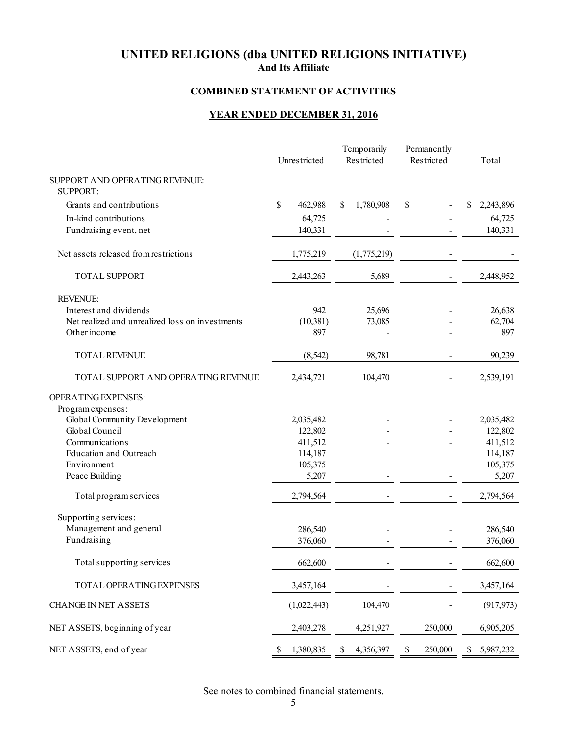## **COMBINED STATEMENT OF ACTIVITIES**

# **YEAR ENDED DECEMBER 31, 2016**

|                                                   | Unrestricted       |    | Temporarily<br>Restricted | Permanently<br>Restricted | Total              |
|---------------------------------------------------|--------------------|----|---------------------------|---------------------------|--------------------|
| SUPPORT AND OPERATING REVENUE:<br><b>SUPPORT:</b> |                    |    |                           |                           |                    |
| Grants and contributions                          | \$<br>462,988      | S  | 1,780,908                 | \$                        | \$<br>2,243,896    |
| In-kind contributions                             | 64,725             |    |                           |                           | 64,725             |
| Fundraising event, net                            | 140,331            |    |                           |                           | 140,331            |
| Net assets released from restrictions             | 1,775,219          |    | (1,775,219)               |                           |                    |
| <b>TOTAL SUPPORT</b>                              | 2,443,263          |    | 5,689                     |                           | 2,448,952          |
| <b>REVENUE:</b>                                   |                    |    |                           |                           |                    |
| Interest and dividends                            | 942                |    | 25,696                    |                           | 26,638             |
| Net realized and unrealized loss on investments   | (10, 381)          |    | 73,085                    |                           | 62,704             |
| Other income                                      | 897                |    |                           |                           | 897                |
| TOTAL REVENUE                                     | (8, 542)           |    | 98,781                    |                           | 90,239             |
| TOTAL SUPPORT AND OPERATING REVENUE               | 2,434,721          |    | 104,470                   |                           | 2,539,191          |
| <b>OPERATING EXPENSES:</b>                        |                    |    |                           |                           |                    |
| Program expenses:                                 |                    |    |                           |                           |                    |
| Global Community Development                      | 2,035,482          |    |                           |                           | 2,035,482          |
| Global Council                                    | 122,802            |    |                           |                           | 122,802            |
| Communications<br><b>Education and Outreach</b>   | 411,512            |    |                           |                           | 411,512            |
| Environment                                       | 114,187<br>105,375 |    |                           |                           | 114,187<br>105,375 |
| Peace Building                                    | 5,207              |    |                           |                           | 5,207              |
| Total program services                            | 2,794,564          |    |                           |                           | 2,794,564          |
| Supporting services:                              |                    |    |                           |                           |                    |
| Management and general                            | 286,540            |    |                           |                           | 286,540            |
| Fundraising                                       | 376,060            |    |                           |                           | 376,060            |
| Total supporting services                         | 662,600            |    |                           |                           | 662,600            |
| TOTAL OPERATING EXPENSES                          | 3,457,164          |    |                           |                           | 3,457,164          |
| <b>CHANGE IN NET ASSETS</b>                       | (1,022,443)        |    | 104,470                   |                           | (917, 973)         |
| NET ASSETS, beginning of year                     | 2,403,278          |    | 4,251,927                 | 250,000                   | 6,905,205          |
| NET ASSETS, end of year                           | \$<br>1,380,835    | \$ | 4,356,397                 | \$<br>250,000             | \$<br>5,987,232    |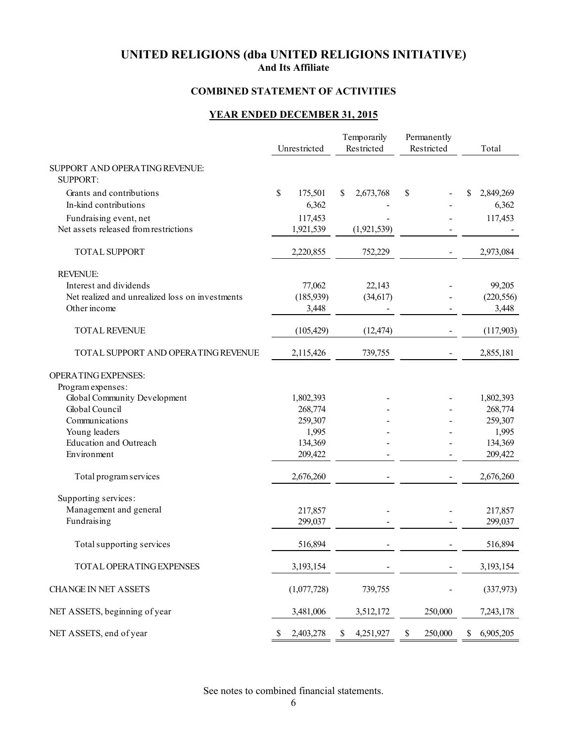## **COMBINED STATEMENT OF ACTIVITIES**

# **YEAR ENDED DECEMBER 31, 2015**

|                                                   | Unrestricted    |    | Temporarily<br>Restricted | Permanently<br>Restricted |    | Total      |
|---------------------------------------------------|-----------------|----|---------------------------|---------------------------|----|------------|
| SUPPORT AND OPERATING REVENUE:<br><b>SUPPORT:</b> |                 |    |                           |                           |    |            |
| Grants and contributions                          | \$<br>175,501   | S  | 2,673,768                 | \$                        | S  | 2,849,269  |
| In-kind contributions                             | 6,362           |    |                           |                           |    | 6,362      |
| Fundraising event, net                            | 117,453         |    |                           |                           |    | 117,453    |
| Net assets released from restrictions             | 1,921,539       |    | (1,921,539)               |                           |    |            |
| <b>TOTAL SUPPORT</b>                              | 2,220,855       |    | 752,229                   |                           |    | 2,973,084  |
| <b>REVENUE:</b>                                   |                 |    |                           |                           |    |            |
| Interest and dividends                            | 77,062          |    | 22,143                    |                           |    | 99,205     |
| Net realized and unrealized loss on investments   | (185, 939)      |    | (34, 617)                 |                           |    | (220, 556) |
| Other income                                      | 3,448           |    |                           |                           |    | 3,448      |
| <b>TOTAL REVENUE</b>                              | (105, 429)      |    | (12, 474)                 |                           |    | (117,903)  |
| TOTAL SUPPORT AND OPERATING REVENUE               | 2,115,426       |    | 739,755                   |                           |    | 2,855,181  |
| <b>OPERATING EXPENSES:</b>                        |                 |    |                           |                           |    |            |
| Program expenses:                                 |                 |    |                           |                           |    |            |
| Global Community Development                      | 1,802,393       |    |                           |                           |    | 1,802,393  |
| Global Council                                    | 268,774         |    |                           |                           |    | 268,774    |
| Communications                                    | 259,307         |    |                           |                           |    | 259,307    |
| Young leaders                                     | 1,995           |    |                           |                           |    | 1,995      |
| <b>Education and Outreach</b>                     | 134,369         |    |                           |                           |    | 134,369    |
| Environment                                       | 209,422         |    |                           |                           |    | 209,422    |
| Total program services                            | 2,676,260       |    |                           |                           |    | 2,676,260  |
| Supporting services:                              |                 |    |                           |                           |    |            |
| Management and general                            | 217,857         |    |                           |                           |    | 217,857    |
| Fundraising                                       | 299,037         |    |                           |                           |    | 299,037    |
| Total supporting services                         | 516,894         |    |                           |                           |    | 516,894    |
| TOTAL OPERATING EXPENSES                          | 3,193,154       |    |                           |                           |    | 3,193,154  |
| <b>CHANGE IN NET ASSETS</b>                       | (1,077,728)     |    | 739,755                   |                           |    | (337,973)  |
| NET ASSETS, beginning of year                     | 3,481,006       |    | 3,512,172                 | 250,000                   |    | 7,243,178  |
| NET ASSETS, end of year                           | \$<br>2,403,278 | \$ | 4,251,927                 | \$<br>250,000             | \$ | 6,905,205  |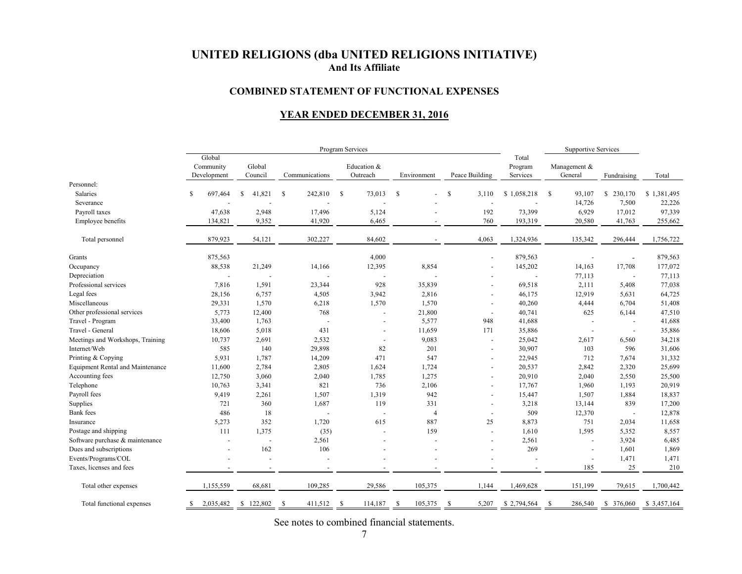#### **COMBINED STATEMENT OF FUNCTIONAL EXPENSES**

## **YEAR ENDED DECEMBER 31, 2016**

|                                  | Program Services |                                    |                          |               |                |              |                          |               |                | <b>Supportive Services</b> |                              |    |                          |               |             |
|----------------------------------|------------------|------------------------------------|--------------------------|---------------|----------------|--------------|--------------------------|---------------|----------------|----------------------------|------------------------------|----|--------------------------|---------------|-------------|
|                                  |                  | Global<br>Community<br>Development | Global<br>Council        |               | Communications |              | Education &<br>Outreach  | Environment   |                | Peace Building             | Total<br>Program<br>Services |    | Management &<br>General  | Fundraising   | Total       |
| Personnel:                       |                  |                                    |                          |               |                |              |                          |               |                |                            |                              |    |                          |               |             |
| <b>Salaries</b>                  | S.               | 697,464                            | <sup>\$</sup><br>41,821  | $\mathcal{S}$ | 242,810        | $\mathbb{S}$ | 73,013                   | <sup>\$</sup> |                | \$<br>3,110                | \$1,058,218                  | -S | 93,107                   | S.<br>230,170 | \$1,381,495 |
| Severance                        |                  |                                    |                          |               |                |              |                          |               |                |                            |                              |    | 14,726                   | 7,500         | 22,226      |
| Payroll taxes                    |                  | 47,638                             | 2,948                    |               | 17,496         |              | 5,124                    |               |                | 192                        | 73,399                       |    | 6,929                    | 17,012        | 97,339      |
| Employee benefits                |                  | 134,821                            | 9,352                    |               | 41,920         |              | 6,465                    |               |                | 760                        | 193,319                      |    | 20,580                   | 41,763        | 255,662     |
| Total personnel                  |                  | 879,923                            | 54,121                   |               | 302,227        |              | 84,602                   |               |                | 4,063                      | 1,324,936                    |    | 135,342                  | 296,444       | 1,756,722   |
| Grants                           |                  | 875,563                            |                          |               |                |              | 4,000                    |               |                |                            | 879,563                      |    |                          |               | 879,563     |
| Occupancy                        |                  | 88,538                             | 21,249                   |               | 14,166         |              | 12,395                   |               | 8,854          |                            | 145,202                      |    | 14,163                   | 17,708        | 177,072     |
| Depreciation                     |                  | $\blacksquare$                     |                          |               |                |              |                          |               |                |                            | ÷,                           |    | 77,113                   |               | 77,113      |
| Professional services            |                  | 7,816                              | 1,591                    |               | 23,344         |              | 928                      |               | 35,839         |                            | 69,518                       |    | 2,111                    | 5,408         | 77,038      |
| Legal fees                       |                  | 28,156                             | 6,757                    |               | 4,505          |              | 3,942                    |               | 2,816          |                            | 46,175                       |    | 12,919                   | 5,631         | 64,725      |
| Miscellaneous                    |                  | 29,331                             | 1,570                    |               | 6,218          |              | 1,570                    |               | 1,570          |                            | 40,260                       |    | 4,444                    | 6,704         | 51,408      |
| Other professional services      |                  | 5,773                              | 12,400                   |               | 768            |              | ÷,                       |               | 21,800         | $\sim$                     | 40,741                       |    | 625                      | 6,144         | 47,510      |
| Travel - Program                 |                  | 33,400                             | 1,763                    |               | $\sim$         |              | $\overline{\phantom{a}}$ |               | 5,577          | 948                        | 41,688                       |    |                          | $\sim$        | 41,688      |
| Travel - General                 |                  | 18,606                             | 5,018                    |               | 431            |              | $\overline{\phantom{a}}$ |               | 11,659         | 171                        | 35,886                       |    |                          |               | 35,886      |
| Meetings and Workshops, Training |                  | 10,737                             | 2,691                    |               | 2,532          |              |                          |               | 9,083          | $\overline{a}$             | 25,042                       |    | 2,617                    | 6,560         | 34,218      |
| Internet/Web                     |                  | 585                                | 140                      |               | 29,898         |              | 82                       |               | 201            | $\overline{\phantom{a}}$   | 30,907                       |    | 103                      | 596           | 31,606      |
| Printing & Copying               |                  | 5,931                              | 1,787                    |               | 14,209         |              | 471                      |               | 547            | $\sim$                     | 22,945                       |    | 712                      | 7,674         | 31,332      |
| Equipment Rental and Maintenance |                  | 11,600                             | 2,784                    |               | 2,805          |              | 1,624                    |               | 1,724          |                            | 20,537                       |    | 2,842                    | 2,320         | 25,699      |
| Accounting fees                  |                  | 12,750                             | 3,060                    |               | 2,040          |              | 1,785                    |               | 1,275          |                            | 20,910                       |    | 2,040                    | 2,550         | 25,500      |
| Telephone                        |                  | 10,763                             | 3,341                    |               | 821            |              | 736                      |               | 2,106          |                            | 17,767                       |    | 1,960                    | 1,193         | 20,919      |
| Payroll fees                     |                  | 9,419                              | 2,261                    |               | 1,507          |              | 1,319                    |               | 942            | $\overline{\phantom{a}}$   | 15,447                       |    | 1,507                    | 1,884         | 18,837      |
| Supplies                         |                  | 721                                | 360                      |               | 1,687          |              | 119                      |               | 331            |                            | 3,218                        |    | 13,144                   | 839           | 17,200      |
| <b>Bank</b> fees                 |                  | 486                                | 18                       |               |                |              |                          |               | $\overline{4}$ |                            | 509                          |    | 12,370                   |               | 12,878      |
| Insurance                        |                  | 5,273                              | 352                      |               | 1,720          |              | 615                      |               | 887            | 25                         | 8,873                        |    | 751                      | 2,034         | 11,658      |
| Postage and shipping             |                  | 111                                | 1,375                    |               | (35)           |              |                          |               | 159            | $\overline{\phantom{a}}$   | 1,610                        |    | 1,595                    | 5,352         | 8,557       |
| Software purchase & maintenance  |                  |                                    | $\sim$                   |               | 2,561          |              |                          |               |                |                            | 2,561                        |    |                          | 3,924         | 6,485       |
| Dues and subscriptions           |                  |                                    | 162                      |               | 106            |              |                          |               |                |                            | 269                          |    |                          | 1,601         | 1,869       |
| Events/Programs/COL              |                  |                                    | $\overline{\phantom{a}}$ |               |                |              |                          |               |                |                            |                              |    | $\overline{\phantom{a}}$ | 1,471         | 1,471       |
| Taxes, licenses and fees         |                  |                                    | $\overline{\phantom{a}}$ |               |                |              |                          |               |                |                            |                              |    | 185                      | 25            | 210         |
| Total other expenses             |                  | 1,155,559                          | 68,681                   |               | 109,285        |              | 29,586                   |               | 105,375        | 1,144                      | 1,469,628                    |    | 151,199                  | 79,615        | 1,700,442   |
| Total functional expenses        | S.               | 2,035,482                          | \$122,802                | -S            | 411,512        | $\mathbb{S}$ | 114,187                  | -S            | 105,375        | \$<br>5,207                | \$2,794,564                  | -S | 286,540                  | \$ 376,060    | \$3,457,164 |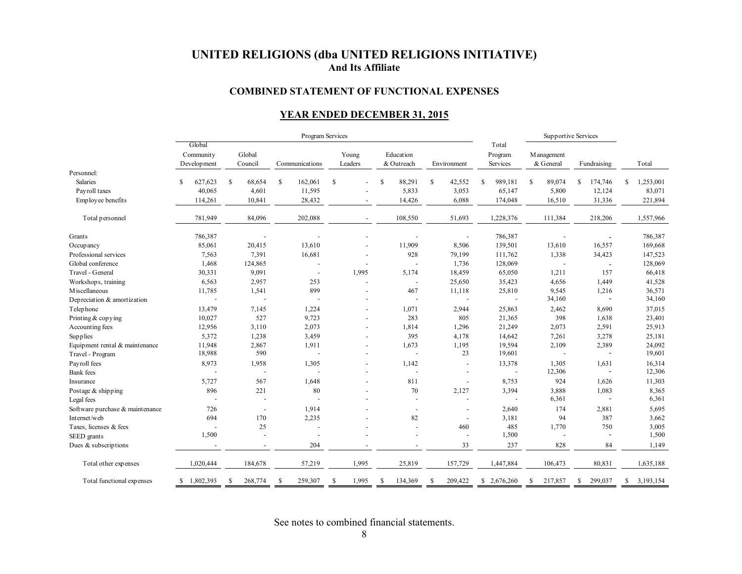#### **COMBINED STATEMENT OF FUNCTIONAL EXPENSES**

## **YEAR ENDED DECEMBER 31, 2015**

|                                 |                                    |                    | Program Services         |                          |                          | Supportive Services      |                              |                          |                |                 |
|---------------------------------|------------------------------------|--------------------|--------------------------|--------------------------|--------------------------|--------------------------|------------------------------|--------------------------|----------------|-----------------|
|                                 | Global<br>Community<br>Development | Global<br>Council  | Communications           | Young<br>Leaders         | Education<br>& Outreach  | Environment              | Total<br>Program<br>Services | M anagement<br>& General | Fundraising    | Total           |
| Personnel:                      |                                    |                    |                          |                          |                          |                          |                              |                          |                |                 |
| <b>Salaries</b>                 | 627,623                            | <b>S</b><br>68,654 | <sup>\$</sup><br>162,061 | \$<br>÷,                 | \$<br>88,291             | $\mathbf S$<br>42,552    | 989,181<br><sup>\$</sup>     | S<br>89,074              | \$<br>174,746  | \$<br>1,253,001 |
| Payroll taxes                   | 40,065                             | 4,601              | 11,595                   |                          | 5,833                    | 3,053                    | 65,147                       | 5,800                    | 12,124         | 83,071          |
| Employee benefits               | 114,261                            | 10,841             | 28,432                   |                          | 14,426                   | 6,088                    | 174,048                      | 16,510                   | 31,336         | 221,894         |
| Total personnel                 | 781,949                            | 84,096             | 202,088                  |                          | 108,550                  | 51,693                   | 1,228,376                    | 111,384                  | 218,206        | 1,557,966       |
| Grants                          | 786,387                            |                    |                          |                          |                          |                          | 786,387                      |                          |                | 786,387         |
| Occupancy                       | 85,061                             | 20,415             | 13,610                   |                          | 11,909                   | 8,506                    | 139,501                      | 13,610                   | 16,557         | 169,668         |
| Professional services           | 7,563                              | 7,391              | 16,681                   | $\overline{\phantom{a}}$ | 928                      | 79,199                   | 111,762                      | 1,338                    | 34,423         | 147,523         |
| Global conference               | 1,468                              | 124,865            |                          | $\overline{a}$           | $\overline{a}$           | 1,736                    | 128,069                      |                          | $\sim$         | 128,069         |
| Travel - General                | 30,331                             | 9,091              | $\sim$                   | 1,995                    | 5,174                    | 18,459                   | 65,050                       | 1,211                    | 157            | 66,418          |
| Workshops, training             | 6,563                              | 2,957              | 253                      | $\blacksquare$           | $\sim$                   | 25,650                   | 35,423                       | 4,656                    | 1,449          | 41,528          |
| M iscellaneous                  | 11,785                             | 1,541              | 899                      | $\overline{\phantom{a}}$ | 467                      | 11,118                   | 25,810                       | 9,545                    | 1,216          | 36,571          |
| Depreciation & amortization     |                                    |                    | L,                       |                          | $\overline{a}$           | $\overline{\phantom{a}}$ |                              | 34,160                   | $\sim$         | 34,160          |
| Telephone                       | 13,479                             | 7,145              | 1,224                    | $\overline{a}$           | 1,071                    | 2,944                    | 25,863                       | 2,462                    | 8,690          | 37,015          |
| Printing & copying              | 10,027                             | 527                | 9,723                    |                          | 283                      | 805                      | 21,365                       | 398                      | 1,638          | 23,401          |
| Accounting fees                 | 12,956                             | 3,110              | 2,073                    | $\overline{a}$           | 1,814                    | 1,296                    | 21,249                       | 2,073                    | 2,591          | 25,913          |
| Supplies                        | 5,372                              | 1,238              | 3,459                    | $\overline{a}$           | 395                      | 4,178                    | 14,642                       | 7,261                    | 3,278          | 25,181          |
| Equipment rental & maintenance  | 11,948                             | 2,867              | 1,911                    | $\overline{a}$           | 1,673                    | 1,195                    | 19,594                       | 2,109                    | 2,389          | 24,092          |
| Travel - Program                | 18,988                             | 590                | ÷,                       | $\overline{\phantom{a}}$ |                          | 23                       | 19,601                       | J.                       | ÷,             | 19,601          |
| Payroll fees                    | 8,973                              | 1,958              | 1,305                    |                          | 1,142                    |                          | 13,378                       | 1,305                    | 1,631          | 16,314          |
| <b>Bank</b> fees                |                                    | ÷,                 |                          | $\blacksquare$           | $\overline{\phantom{a}}$ | ÷,                       | $\overline{\phantom{a}}$     | 12,306                   | $\overline{a}$ | 12,306          |
| Insurance                       | 5,727                              | 567                | 1,648                    | $\overline{\phantom{a}}$ | 811                      | $\sim$                   | 8,753                        | 924                      | 1,626          | 11,303          |
| Postage & shipping              | 896                                | 221                | 80                       |                          | 70                       | 2,127                    | 3,394                        | 3,888                    | 1,083          | 8,365           |
| Legal fees                      |                                    |                    | ÷,                       |                          |                          |                          |                              | 6,361                    | ÷.             | 6,361           |
| Software purchase & maintenance | 726                                | $\sim$             | 1,914                    |                          | $\overline{a}$           |                          | 2,640                        | 174                      | 2,881          | 5,695           |
| Internet/web                    | 694                                | 170                | 2,235                    |                          | 82                       | $\overline{\phantom{a}}$ | 3,181                        | 94                       | 387            | 3,662           |
| Taxes, licenses & fees          |                                    | 25                 |                          |                          |                          | 460                      | 485                          | 1,770                    | 750            | 3,005           |
| SEED grants                     | 1,500                              |                    |                          |                          |                          |                          | 1,500                        |                          | ÷,             | 1,500           |
| Dues & subscriptions            |                                    |                    | 204                      |                          |                          | 33                       | 237                          | 828                      | 84             | 1,149           |
| Total other expenses            | 1,020,444                          | 184,678            | 57,219                   | 1,995                    | 25,819                   | 157,729                  | 1,447,884                    | 106,473                  | 80,831         | 1,635,188       |
| Total functional expenses       | \$1,802,393                        | 268,774<br>S.      | 259,307<br>-\$           | 1,995<br>S               | 134,369<br>S             | 209,422<br>-S            | \$2,676,260                  | 217,857<br>S             | 299,037<br>\$  | \$3,193,154     |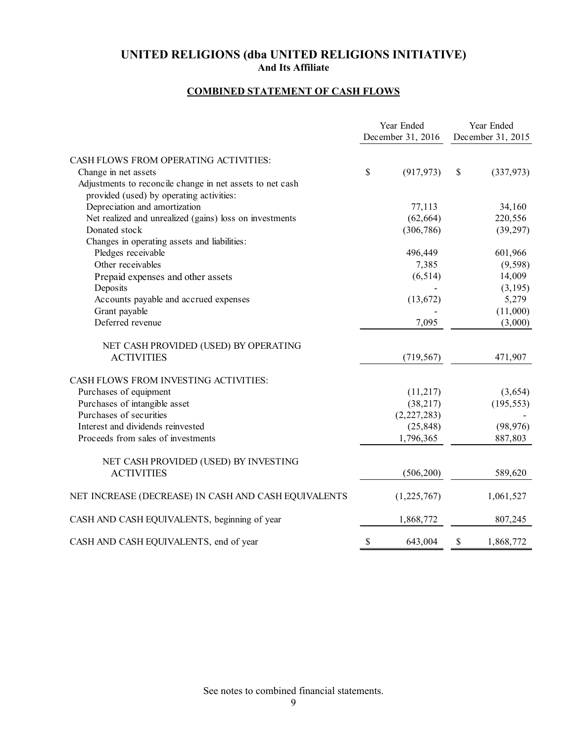# **COMBINED STATEMENT OF CASH FLOWS**

|                                                           | Year Ended        | Year Ended        |
|-----------------------------------------------------------|-------------------|-------------------|
|                                                           | December 31, 2016 | December 31, 2015 |
| CASH FLOWS FROM OPERATING ACTIVITIES:                     |                   |                   |
| Change in net assets                                      | \$<br>(917, 973)  | \$<br>(337,973)   |
| Adjustments to reconcile change in net assets to net cash |                   |                   |
| provided (used) by operating activities:                  |                   |                   |
| Depreciation and amortization                             | 77,113            | 34,160            |
| Net realized and unrealized (gains) loss on investments   | (62, 664)         | 220,556           |
| Donated stock                                             | (306, 786)        | (39, 297)         |
| Changes in operating assets and liabilities:              |                   |                   |
| Pledges receivable                                        | 496,449           | 601,966           |
| Other receivables                                         | 7,385             | (9, 598)          |
| Prepaid expenses and other assets                         | (6, 514)          | 14,009            |
| Deposits                                                  |                   | (3,195)           |
| Accounts payable and accrued expenses                     | (13, 672)         | 5,279             |
| Grant payable                                             |                   | (11,000)          |
| Deferred revenue                                          | 7,095             | (3,000)           |
| NET CASH PROVIDED (USED) BY OPERATING                     |                   |                   |
| <b>ACTIVITIES</b>                                         | (719, 567)        | 471,907           |
| CASH FLOWS FROM INVESTING ACTIVITIES:                     |                   |                   |
| Purchases of equipment                                    | (11,217)          | (3,654)           |
| Purchases of intangible asset                             | (38, 217)         | (195, 553)        |
| Purchases of securities                                   | (2,227,283)       |                   |
| Interest and dividends reinvested                         | (25, 848)         | (98, 976)         |
| Proceeds from sales of investments                        | 1,796,365         | 887,803           |
| NET CASH PROVIDED (USED) BY INVESTING                     |                   |                   |
| <b>ACTIVITIES</b>                                         | (506, 200)        | 589,620           |
| NET INCREASE (DECREASE) IN CASH AND CASH EQUIVALENTS      | (1,225,767)       | 1,061,527         |
| CASH AND CASH EQUIVALENTS, beginning of year              | 1,868,772         | 807,245           |
| CASH AND CASH EQUIVALENTS, end of year                    | \$<br>643,004     | \$<br>1,868,772   |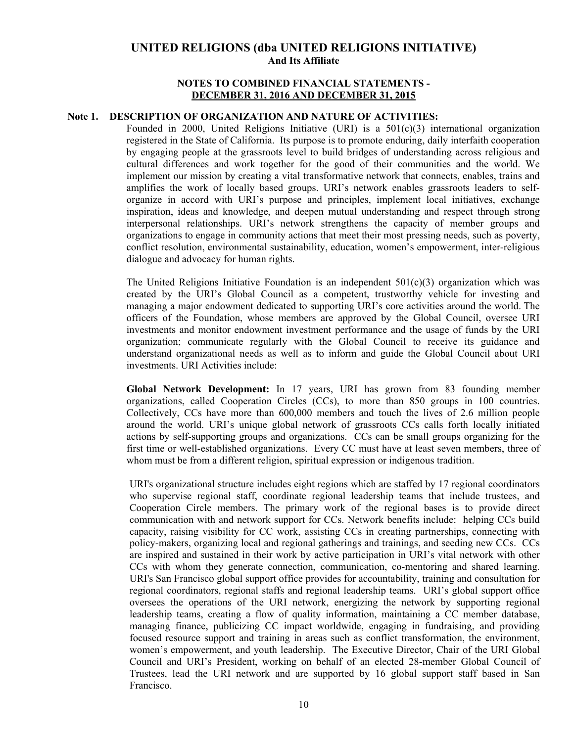### **NOTES TO COMBINED FINANCIAL STATEMENTS - DECEMBER 31, 2016 AND DECEMBER 31, 2015**

### **Note 1. DESCRIPTION OF ORGANIZATION AND NATURE OF ACTIVITIES:**

Founded in 2000, United Religions Initiative (URI) is a  $501(c)(3)$  international organization registered in the State of California. Its purpose is to promote enduring, daily interfaith cooperation by engaging people at the grassroots level to build bridges of understanding across religious and cultural differences and work together for the good of their communities and the world. We implement our mission by creating a vital transformative network that connects, enables, trains and amplifies the work of locally based groups. URI's network enables grassroots leaders to selforganize in accord with URI's purpose and principles, implement local initiatives, exchange inspiration, ideas and knowledge, and deepen mutual understanding and respect through strong interpersonal relationships. URI's network strengthens the capacity of member groups and organizations to engage in community actions that meet their most pressing needs, such as poverty, conflict resolution, environmental sustainability, education, women's empowerment, inter-religious dialogue and advocacy for human rights.

The United Religions Initiative Foundation is an independent  $501(c)(3)$  organization which was created by the URI's Global Council as a competent, trustworthy vehicle for investing and managing a major endowment dedicated to supporting URI's core activities around the world. The officers of the Foundation, whose members are approved by the Global Council, oversee URI investments and monitor endowment investment performance and the usage of funds by the URI organization; communicate regularly with the Global Council to receive its guidance and understand organizational needs as well as to inform and guide the Global Council about URI investments. URI Activities include:

**Global Network Development:** In 17 years, URI has grown from 83 founding member organizations, called Cooperation Circles (CCs), to more than 850 groups in 100 countries. Collectively, CCs have more than 600,000 members and touch the lives of 2.6 million people around the world. URI's unique global network of grassroots CCs calls forth locally initiated actions by self-supporting groups and organizations. CCs can be small groups organizing for the first time or well-established organizations. Every CC must have at least seven members, three of whom must be from a different religion, spiritual expression or indigenous tradition.

URI's organizational structure includes eight regions which are staffed by 17 regional coordinators who supervise regional staff, coordinate regional leadership teams that include trustees, and Cooperation Circle members. The primary work of the regional bases is to provide direct communication with and network support for CCs. Network benefits include: helping CCs build capacity, raising visibility for CC work, assisting CCs in creating partnerships, connecting with policy-makers, organizing local and regional gatherings and trainings, and seeding new CCs. CCs are inspired and sustained in their work by active participation in URI's vital network with other CCs with whom they generate connection, communication, co-mentoring and shared learning. URI's San Francisco global support office provides for accountability, training and consultation for regional coordinators, regional staffs and regional leadership teams. URI's global support office oversees the operations of the URI network, energizing the network by supporting regional leadership teams, creating a flow of quality information, maintaining a CC member database, managing finance, publicizing CC impact worldwide, engaging in fundraising, and providing focused resource support and training in areas such as conflict transformation, the environment, women's empowerment, and youth leadership. The Executive Director, Chair of the URI Global Council and URI's President, working on behalf of an elected 28-member Global Council of Trustees, lead the URI network and are supported by 16 global support staff based in San Francisco.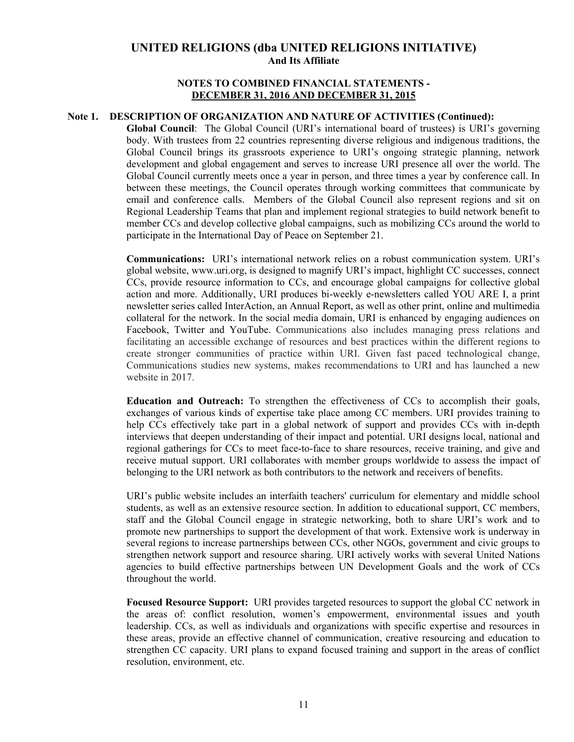## **NOTES TO COMBINED FINANCIAL STATEMENTS - DECEMBER 31, 2016 AND DECEMBER 31, 2015**

#### **Note 1. DESCRIPTION OF ORGANIZATION AND NATURE OF ACTIVITIES (Continued):**

**Global Council**: The Global Council (URI's international board of trustees) is URI's governing body. With trustees from 22 countries representing diverse religious and indigenous traditions, the Global Council brings its grassroots experience to URI's ongoing strategic planning, network development and global engagement and serves to increase URI presence all over the world. The Global Council currently meets once a year in person, and three times a year by conference call. In between these meetings, the Council operates through working committees that communicate by email and conference calls. Members of the Global Council also represent regions and sit on Regional Leadership Teams that plan and implement regional strategies to build network benefit to member CCs and develop collective global campaigns, such as mobilizing CCs around the world to participate in the International Day of Peace on September 21.

**Communications:** URI's international network relies on a robust communication system. URI's global website, www.uri.org, is designed to magnify URI's impact, highlight CC successes, connect CCs, provide resource information to CCs, and encourage global campaigns for collective global action and more. Additionally, URI produces bi-weekly e-newsletters called YOU ARE I, a print newsletter series called InterAction, an Annual Report, as well as other print, online and multimedia collateral for the network. In the social media domain, URI is enhanced by engaging audiences on Facebook, Twitter and YouTube. Communications also includes managing press relations and facilitating an accessible exchange of resources and best practices within the different regions to create stronger communities of practice within URI. Given fast paced technological change, Communications studies new systems, makes recommendations to URI and has launched a new website in 2017.

**Education and Outreach:** To strengthen the effectiveness of CCs to accomplish their goals, exchanges of various kinds of expertise take place among CC members. URI provides training to help CCs effectively take part in a global network of support and provides CCs with in-depth interviews that deepen understanding of their impact and potential. URI designs local, national and regional gatherings for CCs to meet face-to-face to share resources, receive training, and give and receive mutual support. URI collaborates with member groups worldwide to assess the impact of belonging to the URI network as both contributors to the network and receivers of benefits.

URI's public website includes an interfaith teachers' curriculum for elementary and middle school students, as well as an extensive resource section. In addition to educational support, CC members, staff and the Global Council engage in strategic networking, both to share URI's work and to promote new partnerships to support the development of that work. Extensive work is underway in several regions to increase partnerships between CCs, other NGOs, government and civic groups to strengthen network support and resource sharing. URI actively works with several United Nations agencies to build effective partnerships between UN Development Goals and the work of CCs throughout the world.

**Focused Resource Support:** URI provides targeted resources to support the global CC network in the areas of: conflict resolution, women's empowerment, environmental issues and youth leadership. CCs, as well as individuals and organizations with specific expertise and resources in these areas, provide an effective channel of communication, creative resourcing and education to strengthen CC capacity. URI plans to expand focused training and support in the areas of conflict resolution, environment, etc.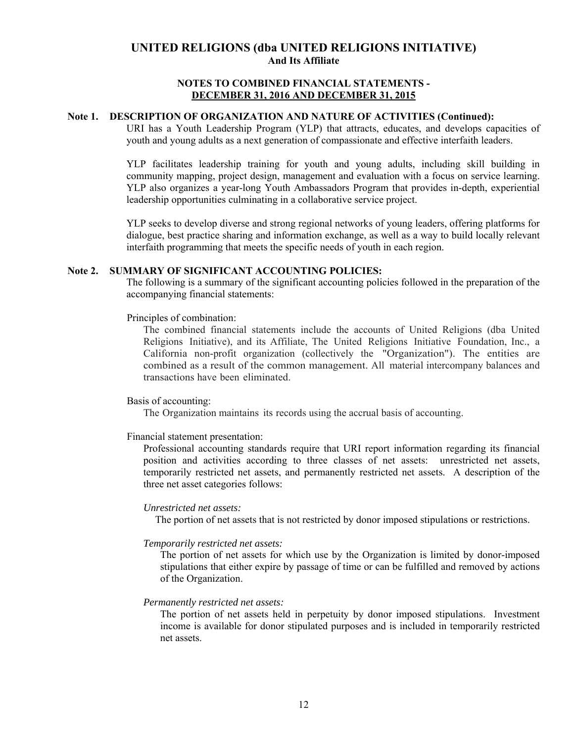### **NOTES TO COMBINED FINANCIAL STATEMENTS - DECEMBER 31, 2016 AND DECEMBER 31, 2015**

#### **Note 1. DESCRIPTION OF ORGANIZATION AND NATURE OF ACTIVITIES (Continued):**

URI has a Youth Leadership Program (YLP) that attracts, educates, and develops capacities of youth and young adults as a next generation of compassionate and effective interfaith leaders.

YLP facilitates leadership training for youth and young adults, including skill building in community mapping, project design, management and evaluation with a focus on service learning. YLP also organizes a year-long Youth Ambassadors Program that provides in-depth, experiential leadership opportunities culminating in a collaborative service project.

YLP seeks to develop diverse and strong regional networks of young leaders, offering platforms for dialogue, best practice sharing and information exchange, as well as a way to build locally relevant interfaith programming that meets the specific needs of youth in each region.

#### **Note 2. SUMMARY OF SIGNIFICANT ACCOUNTING POLICIES:**

The following is a summary of the significant accounting policies followed in the preparation of the accompanying financial statements:

Principles of combination:

The combined financial statements include the accounts of United Religions (dba United Religions Initiative), and its Affiliate, The United Religions Initiative Foundation, Inc., a California non-profit organization (collectively the "Organization"). The entities are combined as a result of the common management. All material intercompany balances and transactions have been eliminated.

## Basis of accounting:

The Organization maintains its records using the accrual basis of accounting.

#### Financial statement presentation:

Professional accounting standards require that URI report information regarding its financial position and activities according to three classes of net assets: unrestricted net assets, temporarily restricted net assets, and permanently restricted net assets. A description of the three net asset categories follows:

#### *Unrestricted net assets:*

The portion of net assets that is not restricted by donor imposed stipulations or restrictions.

#### *Temporarily restricted net assets:*

The portion of net assets for which use by the Organization is limited by donor-imposed stipulations that either expire by passage of time or can be fulfilled and removed by actions of the Organization.

#### *Permanently restricted net assets:*

The portion of net assets held in perpetuity by donor imposed stipulations. Investment income is available for donor stipulated purposes and is included in temporarily restricted net assets.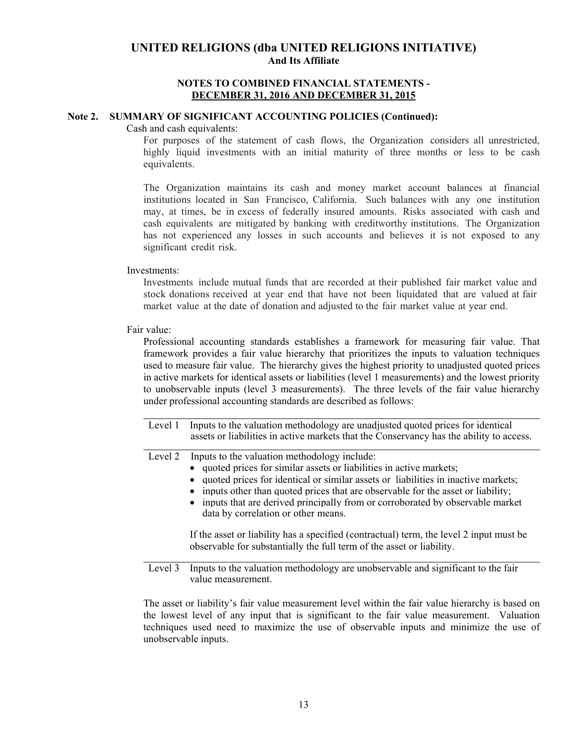#### **NOTES TO COMBINED FINANCIAL STATEMENTS - DECEMBER 31, 2016 AND DECEMBER 31, 2015**

#### **Note 2. SUMMARY OF SIGNIFICANT ACCOUNTING POLICIES (Continued):**

#### Cash and cash equivalents:

For purposes of the statement of cash flows, the Organization considers all unrestricted, highly liquid investments with an initial maturity of three months or less to be cash equivalents.

The Organization maintains its cash and money market account balances at financial institutions located in San Francisco, California. Such balances with any one institution may, at times, be in excess of federally insured amounts. Risks associated with cash and cash equivalents are mitigated by banking with creditworthy institutions. The Organization has not experienced any losses in such accounts and believes it is not exposed to any significant credit risk.

Investments:

Investments include mutual funds that are recorded at their published fair market value and stock donations received at year end that have not been liquidated that are valued at fair market value at the date of donation and adjusted to the fair market value at year end.

Fair value:

Professional accounting standards establishes a framework for measuring fair value. That framework provides a fair value hierarchy that prioritizes the inputs to valuation techniques used to measure fair value. The hierarchy gives the highest priority to unadjusted quoted prices in active markets for identical assets or liabilities (level 1 measurements) and the lowest priority to unobservable inputs (level 3 measurements). The three levels of the fair value hierarchy under professional accounting standards are described as follows:

| Level 1 Inputs to the valuation methodology are unadjusted quoted prices for identical  |
|-----------------------------------------------------------------------------------------|
| assets or liabilities in active markets that the Conservancy has the ability to access. |

|  | Level 2 Inputs to the valuation methodology include: |  |
|--|------------------------------------------------------|--|
|  |                                                      |  |

- quoted prices for similar assets or liabilities in active markets;
- quoted prices for identical or similar assets or liabilities in inactive markets;
- inputs other than quoted prices that are observable for the asset or liability;
- inputs that are derived principally from or corroborated by observable market data by correlation or other means.

 If the asset or liability has a specified (contractual) term, the level 2 input must be observable for substantially the full term of the asset or liability.

Level 3 Inputs to the valuation methodology are unobservable and significant to the fair value measurement.

The asset or liability's fair value measurement level within the fair value hierarchy is based on the lowest level of any input that is significant to the fair value measurement. Valuation techniques used need to maximize the use of observable inputs and minimize the use of unobservable inputs.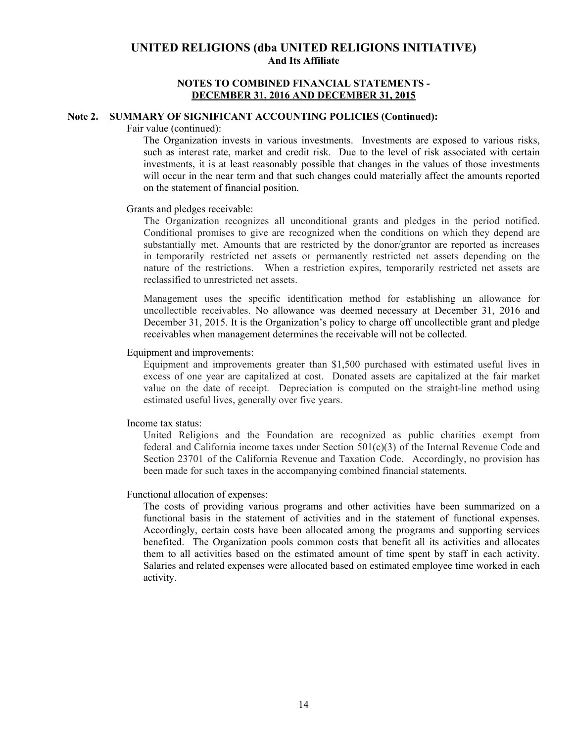#### **NOTES TO COMBINED FINANCIAL STATEMENTS - DECEMBER 31, 2016 AND DECEMBER 31, 2015**

#### **Note 2. SUMMARY OF SIGNIFICANT ACCOUNTING POLICIES (Continued):**

Fair value (continued):

The Organization invests in various investments. Investments are exposed to various risks, such as interest rate, market and credit risk. Due to the level of risk associated with certain investments, it is at least reasonably possible that changes in the values of those investments will occur in the near term and that such changes could materially affect the amounts reported on the statement of financial position.

#### Grants and pledges receivable:

The Organization recognizes all unconditional grants and pledges in the period notified. Conditional promises to give are recognized when the conditions on which they depend are substantially met. Amounts that are restricted by the donor/grantor are reported as increases in temporarily restricted net assets or permanently restricted net assets depending on the nature of the restrictions. When a restriction expires, temporarily restricted net assets are reclassified to unrestricted net assets.

Management uses the specific identification method for establishing an allowance for uncollectible receivables. No allowance was deemed necessary at December 31, 2016 and December 31, 2015. It is the Organization's policy to charge off uncollectible grant and pledge receivables when management determines the receivable will not be collected.

#### Equipment and improvements:

Equipment and improvements greater than \$1,500 purchased with estimated useful lives in excess of one year are capitalized at cost. Donated assets are capitalized at the fair market value on the date of receipt. Depreciation is computed on the straight-line method using estimated useful lives, generally over five years.

#### Income tax status:

United Religions and the Foundation are recognized as public charities exempt from federal and California income taxes under Section  $501(c)(3)$  of the Internal Revenue Code and Section 23701 of the California Revenue and Taxation Code. Accordingly, no provision has been made for such taxes in the accompanying combined financial statements.

#### Functional allocation of expenses:

The costs of providing various programs and other activities have been summarized on a functional basis in the statement of activities and in the statement of functional expenses. Accordingly, certain costs have been allocated among the programs and supporting services benefited. The Organization pools common costs that benefit all its activities and allocates them to all activities based on the estimated amount of time spent by staff in each activity. Salaries and related expenses were allocated based on estimated employee time worked in each activity.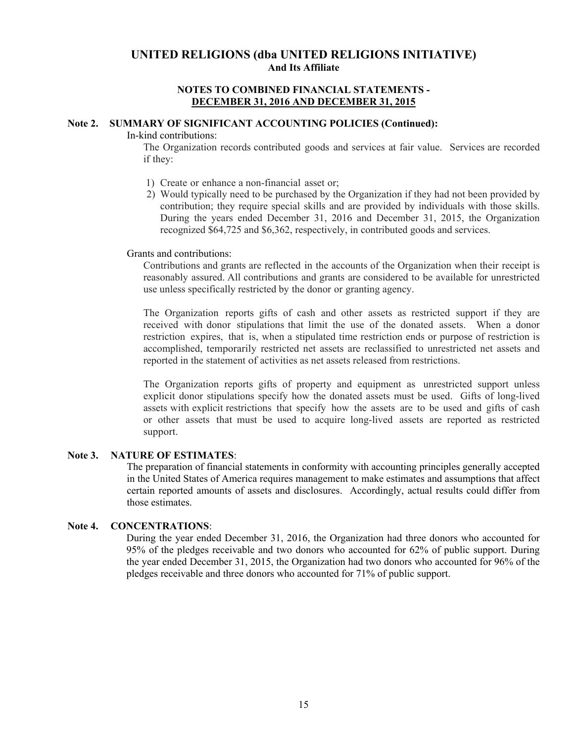#### **NOTES TO COMBINED FINANCIAL STATEMENTS - DECEMBER 31, 2016 AND DECEMBER 31, 2015**

## **Note 2. SUMMARY OF SIGNIFICANT ACCOUNTING POLICIES (Continued):**

#### In-kind contributions:

The Organization records contributed goods and services at fair value. Services are recorded if they:

- 1) Create or enhance a non-financial asset or;
- 2) Would typically need to be purchased by the Organization if they had not been provided by contribution; they require special skills and are provided by individuals with those skills. During the years ended December 31, 2016 and December 31, 2015, the Organization recognized \$64,725 and \$6,362, respectively, in contributed goods and services.

#### Grants and contributions:

Contributions and grants are reflected in the accounts of the Organization when their receipt is reasonably assured. All contributions and grants are considered to be available for unrestricted use unless specifically restricted by the donor or granting agency.

The Organization reports gifts of cash and other assets as restricted support if they are received with donor stipulations that limit the use of the donated assets. When a donor restriction expires, that is, when a stipulated time restriction ends or purpose of restriction is accomplished, temporarily restricted net assets are reclassified to unrestricted net assets and reported in the statement of activities as net assets released from restrictions.

The Organization reports gifts of property and equipment as unrestricted support unless explicit donor stipulations specify how the donated assets must be used. Gifts of long-lived assets with explicit restrictions that specify how the assets are to be used and gifts of cash or other assets that must be used to acquire long-lived assets are reported as restricted support.

#### **Note 3. NATURE OF ESTIMATES**:

The preparation of financial statements in conformity with accounting principles generally accepted in the United States of America requires management to make estimates and assumptions that affect certain reported amounts of assets and disclosures. Accordingly, actual results could differ from those estimates.

## **Note 4. CONCENTRATIONS**:

During the year ended December 31, 2016, the Organization had three donors who accounted for 95% of the pledges receivable and two donors who accounted for 62% of public support. During the year ended December 31, 2015, the Organization had two donors who accounted for 96% of the pledges receivable and three donors who accounted for 71% of public support.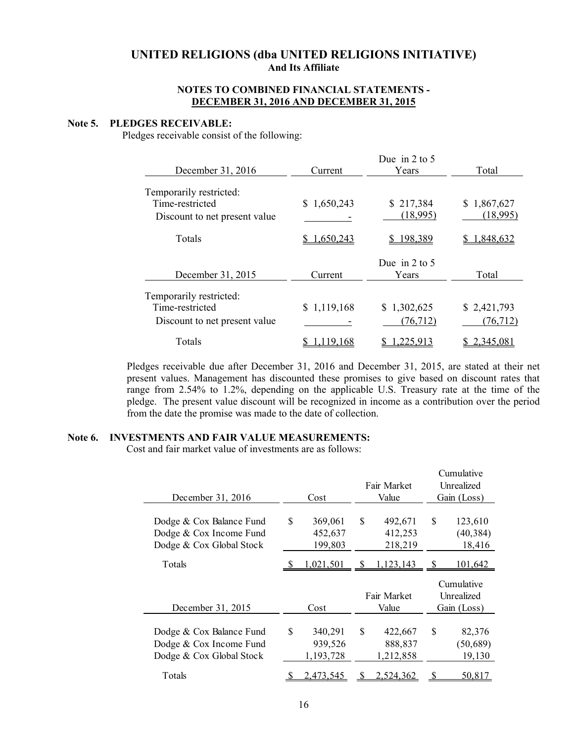### **NOTES TO COMBINED FINANCIAL STATEMENTS - DECEMBER 31, 2016 AND DECEMBER 31, 2015**

#### **Note 5. PLEDGES RECEIVABLE:**

Pledges receivable consist of the following:

| December 31, 2016             | Current        | Due in $2 \text{ to } 5$<br>Years | Total       |
|-------------------------------|----------------|-----------------------------------|-------------|
| Temporarily restricted:       |                |                                   |             |
| Time-restricted               | 1,650,243<br>S | \$217,384                         | \$1,867,627 |
| Discount to net present value |                | (18,995)                          | (18,995)    |
| Totals                        | 1,650,243      | 198,389                           | 1,848,632   |
|                               |                | Due in $2 \text{ to } 5$          |             |
| December 31, 2015             | Current        | Years                             | Total       |
| Temporarily restricted:       |                |                                   |             |
| Time-restricted               | \$1,119,168    | \$1,302,625                       | \$2,421,793 |
| Discount to net present value |                | (76, 712)                         | (76, 712)   |
| Totals                        |                | 225.913                           | 2.345.08    |

Pledges receivable due after December 31, 2016 and December 31, 2015, are stated at their net present values. Management has discounted these promises to give based on discount rates that range from 2.54% to 1.2%, depending on the applicable U.S. Treasury rate at the time of the pledge. The present value discount will be recognized in income as a contribution over the period from the date the promise was made to the date of collection.

# **Note 6. INVESTMENTS AND FAIR VALUE MEASUREMENTS:**

Cost and fair market value of investments are as follows:

|                                                                                 |                                       |    |                                 | Cumulative                              |
|---------------------------------------------------------------------------------|---------------------------------------|----|---------------------------------|-----------------------------------------|
|                                                                                 |                                       |    | Fair Market                     | Unrealized                              |
| December 31, 2016                                                               | Cost                                  |    | Value                           | Gain (Loss)                             |
| Dodge & Cox Balance Fund<br>Dodge & Cox Income Fund                             | \$<br>369,061<br>452,637              | \$ | 492,671<br>412,253              | \$<br>123,610<br>(40, 384)              |
| Dodge & Cox Global Stock                                                        | 199,803                               |    | 218,219                         | 18,416                                  |
| Totals                                                                          | 1,021,501                             | S  | 1,123,143                       | 101,642                                 |
|                                                                                 |                                       |    |                                 |                                         |
| December 31, 2015                                                               | Cost                                  |    | Fair Market<br>Value            | Cumulative<br>Unrealized<br>Gain (Loss) |
| Dodge & Cox Balance Fund<br>Dodge & Cox Income Fund<br>Dodge & Cox Global Stock | \$<br>340,291<br>939,526<br>1,193,728 | \$ | 422,667<br>888,837<br>1,212,858 | \$<br>82,376<br>(50, 689)<br>19,130     |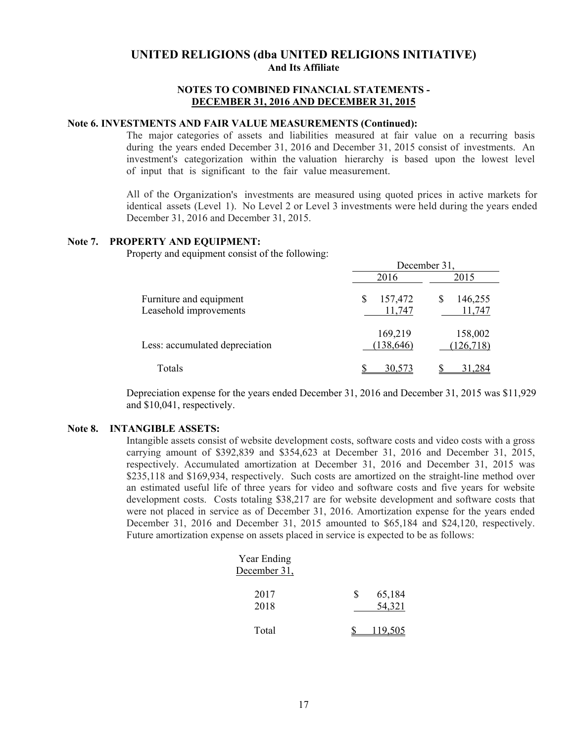### **NOTES TO COMBINED FINANCIAL STATEMENTS - DECEMBER 31, 2016 AND DECEMBER 31, 2015**

## **Note 6. INVESTMENTS AND FAIR VALUE MEASUREMENTS (Continued):**

The major categories of assets and liabilities measured at fair value on a recurring basis during the years ended December 31, 2016 and December 31, 2015 consist of investments. An investment's categorization within the valuation hierarchy is based upon the lowest level of input that is significant to the fair value measurement.

All of the Organization's investments are measured using quoted prices in active markets for identical assets (Level 1). No Level 2 or Level 3 investments were held during the years ended December 31, 2016 and December 31, 2015.

### **Note 7. PROPERTY AND EQUIPMENT:**

Property and equipment consist of the following:

|                                                   | December 31.           |                    |  |  |  |
|---------------------------------------------------|------------------------|--------------------|--|--|--|
|                                                   | 2016                   | 2015               |  |  |  |
| Furniture and equipment<br>Leasehold improvements | 157,472<br>S<br>11,747 | 146,255<br>11,747  |  |  |  |
| Less: accumulated depreciation                    | 169,219<br>(138, 646)  | 158,002<br>126,718 |  |  |  |
| Totals                                            | 30,573                 | 31.284             |  |  |  |

Depreciation expense for the years ended December 31, 2016 and December 31, 2015 was \$11,929 and \$10,041, respectively.

### **Note 8. INTANGIBLE ASSETS:**

Intangible assets consist of website development costs, software costs and video costs with a gross carrying amount of \$392,839 and \$354,623 at December 31, 2016 and December 31, 2015, respectively. Accumulated amortization at December 31, 2016 and December 31, 2015 was \$235,118 and \$169,934, respectively. Such costs are amortized on the straight-line method over an estimated useful life of three years for video and software costs and five years for website development costs. Costs totaling \$38,217 are for website development and software costs that were not placed in service as of December 31, 2016. Amortization expense for the years ended December 31, 2016 and December 31, 2015 amounted to \$65,184 and \$24,120, respectively. Future amortization expense on assets placed in service is expected to be as follows:

| Year Ending  |   |         |
|--------------|---|---------|
| December 31, |   |         |
| 2017         | S | 65,184  |
| 2018         |   | 54,321  |
| Total        |   | 119.505 |
|              |   |         |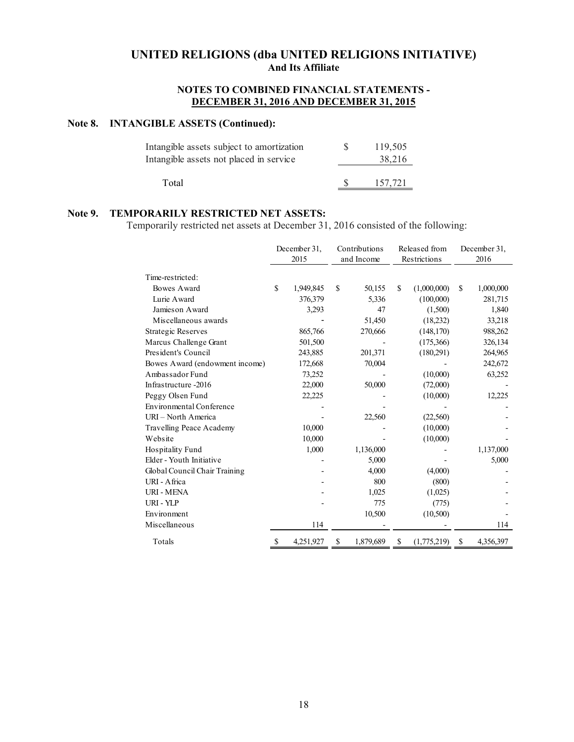## **NOTES TO COMBINED FINANCIAL STATEMENTS - DECEMBER 31, 2016 AND DECEMBER 31, 2015**

### **Note 8. INTANGIBLE ASSETS (Continued):**

| Intangible assets subject to amortization | 119.505 |
|-------------------------------------------|---------|
| Intangible assets not placed in service   | 38.216  |
|                                           |         |
| Total                                     | 157.721 |

### **Note 9. TEMPORARILY RESTRICTED NET ASSETS:**

Temporarily restricted net assets at December 31, 2016 consisted of the following:

|                                 |               | December 31, | Contributions |            |              | Released from | December 31, |           |  |
|---------------------------------|---------------|--------------|---------------|------------|--------------|---------------|--------------|-----------|--|
|                                 |               | 2015         |               | and Income | Restrictions |               |              | 2016      |  |
| Time-restricted:                |               |              |               |            |              |               |              |           |  |
| Bowes Award                     | \$            | 1,949,845    | \$            | 50,155     | \$           | (1,000,000)   | S            | 1,000,000 |  |
| Lurie Award                     |               | 376,379      |               | 5,336      |              | (100,000)     |              | 281,715   |  |
| Jamieson Award                  |               | 3,293        |               | 47         |              | (1,500)       |              | 1,840     |  |
| Miscellaneous awards            |               |              |               | 51,450     |              | (18,232)      |              | 33,218    |  |
| <b>Strategic Reserves</b>       |               | 865,766      |               | 270,666    |              | (148,170)     |              | 988,262   |  |
| Marcus Challenge Grant          |               | 501,500      |               |            |              | (175,366)     | 326,134      |           |  |
| President's Council             |               | 243,885      |               | 201,371    |              | (180,291)     |              | 264,965   |  |
| Bowes Award (endowment income)  |               | 172,668      |               | 70,004     |              |               |              | 242,672   |  |
| Ambassador Fund                 |               | 73,252       |               |            |              | (10,000)      |              | 63,252    |  |
| Infrastructure -2016            |               | 22,000       |               | 50,000     |              | (72,000)      |              |           |  |
| Peggy Olsen Fund                |               | 22,225       |               |            |              | (10,000)      |              | 12,225    |  |
| <b>Environmental Conference</b> |               |              |               |            |              |               |              |           |  |
| URI - North America             |               |              |               | 22,560     |              | (22,560)      |              |           |  |
| Travelling Peace Academy        |               | 10,000       |               |            |              | (10,000)      |              |           |  |
| Website                         |               | 10,000       |               |            |              | (10,000)      |              |           |  |
| Hospitality Fund                |               | 1,000        |               | 1,136,000  |              |               |              | 1,137,000 |  |
| Elder - Youth Initiative        |               |              |               | 5,000      |              |               |              | 5,000     |  |
| Global Council Chair Training   |               |              |               | 4,000      |              | (4,000)       |              |           |  |
| URI - Africa                    |               |              |               | 800        |              | (800)         |              |           |  |
| <b>URI - MENA</b>               |               |              |               | 1,025      |              | (1,025)       |              |           |  |
| URI - YLP                       |               |              |               | 775        |              | (775)         |              |           |  |
| Environment                     |               |              |               | 10,500     |              | (10,500)      |              |           |  |
| Miscellaneous                   |               | 114          |               |            |              |               |              | 114       |  |
| Totals                          | <sup>\$</sup> | 4,251,927    | \$            | 1,879,689  | \$           | (1,775,219)   | \$           | 4,356,397 |  |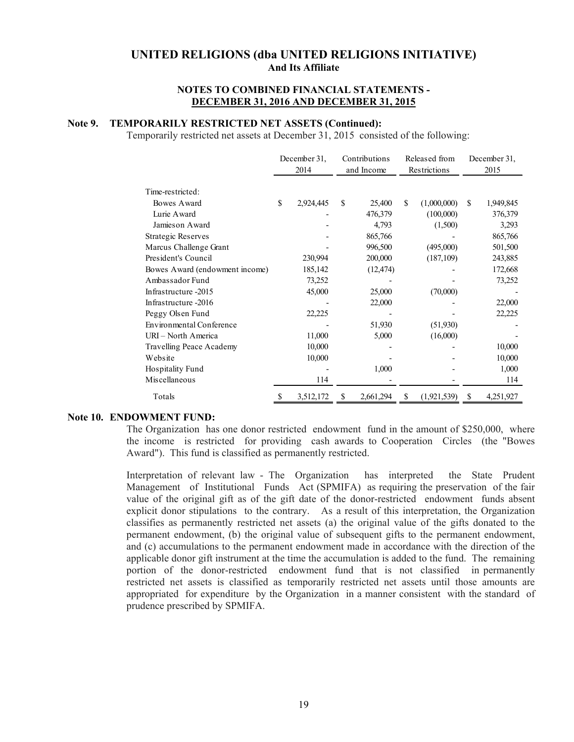#### **NOTES TO COMBINED FINANCIAL STATEMENTS - DECEMBER 31, 2016 AND DECEMBER 31, 2015**

### **Note 9. TEMPORARILY RESTRICTED NET ASSETS (Continued):**

Temporarily restricted net assets at December 31, 2015 consisted of the following:

|                                 | December 31,    | Contributions |           |              | Released from | December 31,    |
|---------------------------------|-----------------|---------------|-----------|--------------|---------------|-----------------|
|                                 | 2014            | and Income    |           | Restrictions |               | 2015            |
|                                 |                 |               |           |              |               |                 |
| Time-restricted:                |                 |               |           |              |               |                 |
| Bowes Award                     | \$<br>2,924,445 | \$            | 25,400    | \$.          | (1,000,000)   | \$<br>1,949,845 |
| Lurie Award                     |                 |               | 476,379   |              | (100,000)     | 376,379         |
| Jamies on Award                 |                 |               | 4,793     |              | (1,500)       | 3,293           |
| <b>Strategic Reserves</b>       |                 |               | 865,766   |              |               | 865,766         |
| Marcus Challenge Grant          |                 |               | 996,500   |              | (495,000)     | 501,500         |
| President's Council             | 230,994         |               | 200,000   |              | (187, 109)    | 243,885         |
| Bowes Award (endowment income)  | 185,142         |               | (12, 474) |              |               | 172,668         |
| Ambassador Fund                 | 73,252          |               |           |              |               | 73,252          |
| Infrastructure -2015            | 45,000          |               | 25,000    |              | (70,000)      |                 |
| Infrastructure -2016            |                 |               | 22,000    |              |               | 22,000          |
| Peggy Olsen Fund                | 22,225          |               |           |              |               | 22,225          |
| <b>Environmental Conference</b> |                 |               | 51,930    |              | (51,930)      |                 |
| URI - North America             | 11,000          |               | 5,000     |              | (16,000)      |                 |
| Travelling Peace Academy        | 10,000          |               |           |              |               | 10,000          |
| Website                         | 10,000          |               |           |              |               | 10,000          |
| Hospitality Fund                |                 |               | 1,000     |              |               | 1,000           |
| Miscellaneous                   | 114             |               |           |              |               | 114             |
| Totals                          | \$<br>3,512,172 | S             | 2,661,294 | \$           | (1,921,539)   | \$<br>4,251,927 |

#### **Note 10. ENDOWMENT FUND:**

The Organization has one donor restricted endowment fund in the amount of \$250,000, where the income is restricted for providing cash awards to Cooperation Circles (the "Bowes Award"). This fund is classified as permanently restricted.

Interpretation of relevant law - The Organization has interpreted the State Prudent Management of Institutional Funds Act (SPMIFA) as requiring the preservation of the fair value of the original gift as of the gift date of the donor-restricted endowment funds absent explicit donor stipulations to the contrary. As a result of this interpretation, the Organization classifies as permanently restricted net assets (a) the original value of the gifts donated to the permanent endowment, (b) the original value of subsequent gifts to the permanent endowment, and (c) accumulations to the permanent endowment made in accordance with the direction of the applicable donor gift instrument at the time the accumulation is added to the fund. The remaining portion of the donor-restricted endowment fund that is not classified in permanently restricted net assets is classified as temporarily restricted net assets until those amounts are appropriated for expenditure by the Organization in a manner consistent with the standard of prudence prescribed by SPMIFA.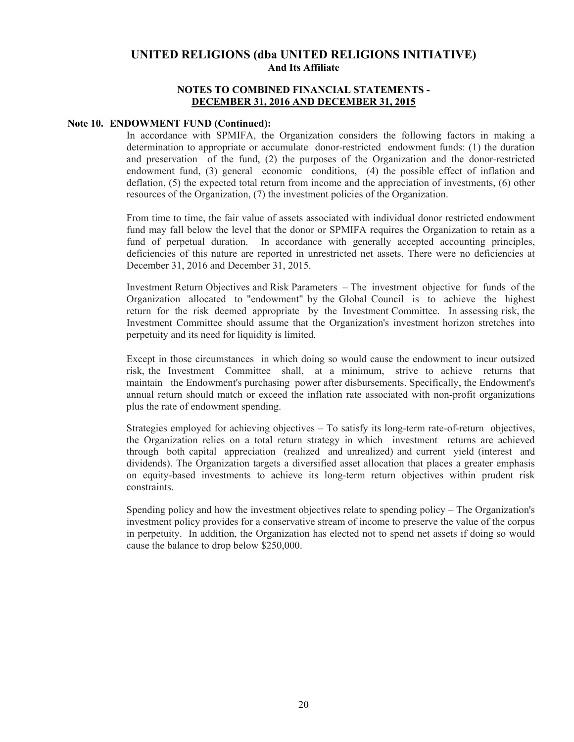### **NOTES TO COMBINED FINANCIAL STATEMENTS - DECEMBER 31, 2016 AND DECEMBER 31, 2015**

#### **Note 10. ENDOWMENT FUND (Continued):**

In accordance with SPMIFA, the Organization considers the following factors in making a determination to appropriate or accumulate donor-restricted endowment funds: (1) the duration and preservation of the fund, (2) the purposes of the Organization and the donor-restricted endowment fund, (3) general economic conditions, (4) the possible effect of inflation and deflation, (5) the expected total return from income and the appreciation of investments, (6) other resources of the Organization, (7) the investment policies of the Organization.

From time to time, the fair value of assets associated with individual donor restricted endowment fund may fall below the level that the donor or SPMIFA requires the Organization to retain as a fund of perpetual duration. In accordance with generally accepted accounting principles, deficiencies of this nature are reported in unrestricted net assets. There were no deficiencies at December 31, 2016 and December 31, 2015.

Investment Return Objectives and Risk Parameters – The investment objective for funds of the Organization allocated to "endowment" by the Global Council is to achieve the highest return for the risk deemed appropriate by the Investment Committee. In assessing risk, the Investment Committee should assume that the Organization's investment horizon stretches into perpetuity and its need for liquidity is limited.

Except in those circumstances in which doing so would cause the endowment to incur outsized risk, the Investment Committee shall, at a minimum, strive to achieve returns that maintain the Endowment's purchasing power after disbursements. Specifically, the Endowment's annual return should match or exceed the inflation rate associated with non-profit organizations plus the rate of endowment spending.

Strategies employed for achieving objectives – To satisfy its long-term rate-of-return objectives, the Organization relies on a total return strategy in which investment returns are achieved through both capital appreciation (realized and unrealized) and current yield (interest and dividends). The Organization targets a diversified asset allocation that places a greater emphasis on equity-based investments to achieve its long-term return objectives within prudent risk constraints.

Spending policy and how the investment objectives relate to spending policy – The Organization's investment policy provides for a conservative stream of income to preserve the value of the corpus in perpetuity. In addition, the Organization has elected not to spend net assets if doing so would cause the balance to drop below \$250,000.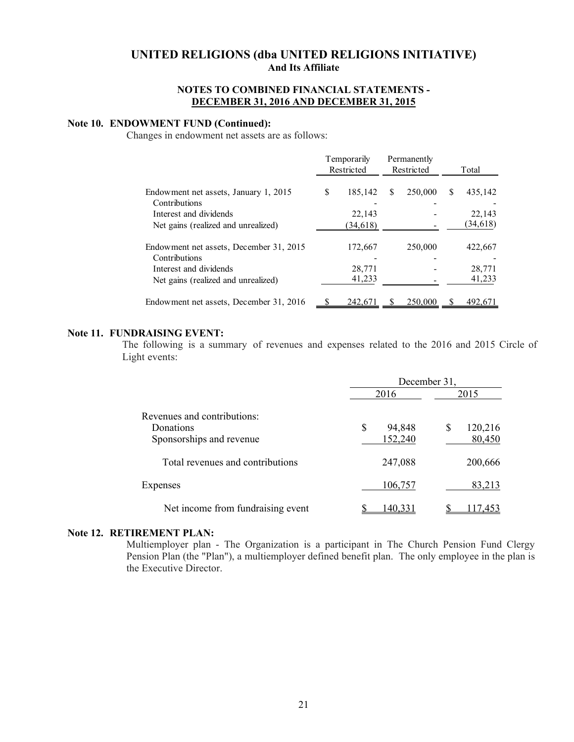#### **NOTES TO COMBINED FINANCIAL STATEMENTS - DECEMBER 31, 2016 AND DECEMBER 31, 2015**

# **Note 10. ENDOWMENT FUND (Continued):**

Changes in endowment net assets are as follows:

|                                                          |   | <b>Temporarily</b><br>Restricted |   | Permanently<br>Restricted | Total |           |
|----------------------------------------------------------|---|----------------------------------|---|---------------------------|-------|-----------|
| Endowment net assets, January 1, 2015                    | S | 185,142                          | S | 250,000                   | S     | 435,142   |
| Contributions                                            |   |                                  |   |                           |       |           |
| Interest and dividends                                   |   | 22,143                           |   |                           |       | 22,143    |
| Net gains (realized and unrealized)                      |   | (34, 618)                        |   |                           |       | (34, 618) |
| Endowment net assets, December 31, 2015<br>Contributions |   | 172,667                          |   | 250,000                   |       | 422,667   |
| Interest and dividends                                   |   | 28.771                           |   |                           |       | 28,771    |
| Net gains (realized and unrealized)                      |   | 41,233                           |   |                           |       | 41,233    |
| Endowment net assets, December 31, 2016                  |   | 242,671                          | S | 250,000                   |       | 492,671   |

#### **Note 11. FUNDRAISING EVENT:**

The following is a summary of revenues and expenses related to the 2016 and 2015 Circle of Light events:

|                                   | December 31, |         |   |         |  |  |
|-----------------------------------|--------------|---------|---|---------|--|--|
|                                   |              | 2016    |   | 2015    |  |  |
| Revenues and contributions:       |              |         |   |         |  |  |
| <b>Donations</b>                  | \$           | 94,848  | S | 120,216 |  |  |
| Sponsorships and revenue          |              | 152,240 |   | 80,450  |  |  |
| Total revenues and contributions  |              | 247,088 |   | 200,666 |  |  |
| Expenses                          |              | 106,757 |   | 83,213  |  |  |
| Net income from fundraising event |              |         |   |         |  |  |

#### **Note 12. RETIREMENT PLAN:**

Multiemployer plan - The Organization is a participant in The Church Pension Fund Clergy Pension Plan (the "Plan"), a multiemployer defined benefit plan. The only employee in the plan is the Executive Director.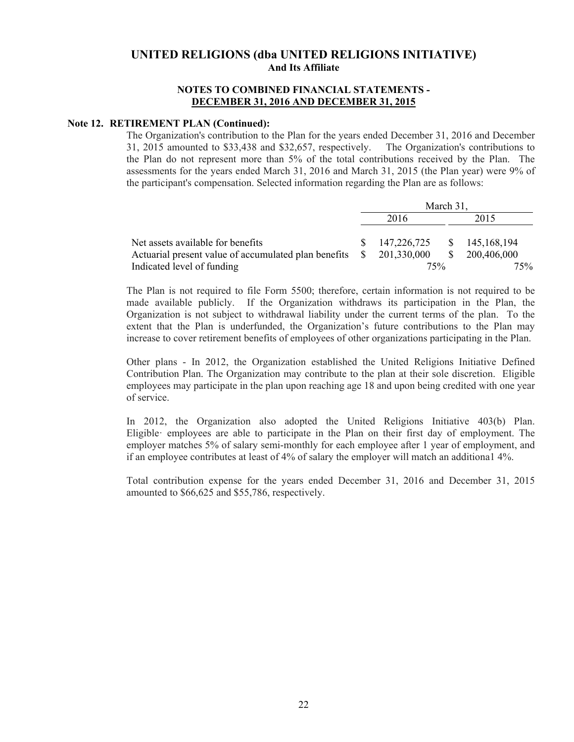#### **NOTES TO COMBINED FINANCIAL STATEMENTS - DECEMBER 31, 2016 AND DECEMBER 31, 2015**

## **Note 12. RETIREMENT PLAN (Continued):**

The Organization's contribution to the Plan for the years ended December 31, 2016 and December 31, 2015 amounted to \$33,438 and \$32,657, respectively. The Organization's contributions to the Plan do not represent more than 5% of the total contributions received by the Plan. The assessments for the years ended March 31, 2016 and March 31, 2015 (the Plan year) were 9% of the participant's compensation. Selected information regarding the Plan are as follows:

|                                                      |              | March 31,   |               |               |  |  |  |
|------------------------------------------------------|--------------|-------------|---------------|---------------|--|--|--|
|                                                      | 2016         |             |               | 2015          |  |  |  |
|                                                      |              |             |               |               |  |  |  |
| Net assets available for benefits                    |              | 147,226,725 |               | \$145,168,194 |  |  |  |
| Actuarial present value of accumulated plan benefits | $\mathbf{s}$ | 201,330,000 | <sup>\$</sup> | 200,406,000   |  |  |  |
| Indicated level of funding                           |              | 75%         |               |               |  |  |  |

The Plan is not required to file Form 5500; therefore, certain information is not required to be made available publicly. If the Organization withdraws its participation in the Plan, the Organization is not subject to withdrawal liability under the current terms of the plan. To the extent that the Plan is underfunded, the Organization's future contributions to the Plan may increase to cover retirement benefits of employees of other organizations participating in the Plan.

Other plans - In 2012, the Organization established the United Religions Initiative Defined Contribution Plan. The Organization may contribute to the plan at their sole discretion. Eligible employees may participate in the plan upon reaching age 18 and upon being credited with one year of service.

In 2012, the Organization also adopted the United Religions Initiative 403(b) Plan. Eligible· employees are able to participate in the Plan on their first day of employment. The employer matches 5% of salary semi-monthly for each employee after 1 year of employment, and if an employee contributes at least of 4% of salary the employer will match an additiona1 4%.

Total contribution expense for the years ended December 31, 2016 and December 31, 2015 amounted to \$66,625 and \$55,786, respectively.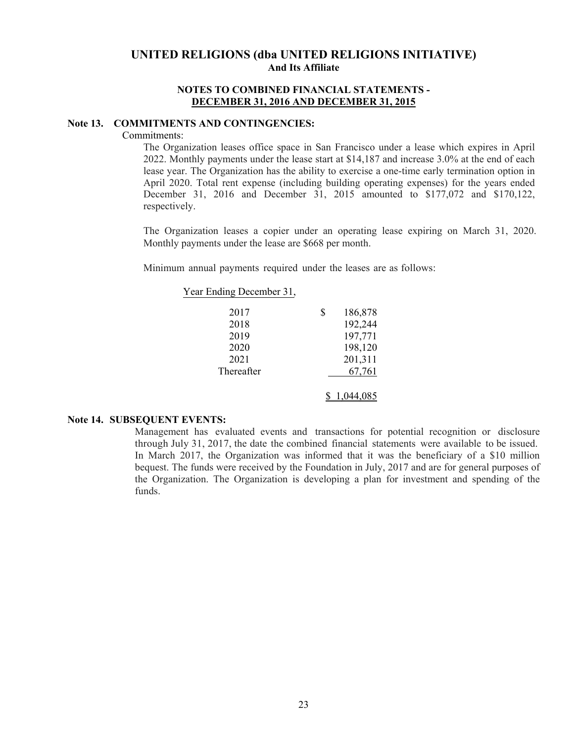### **NOTES TO COMBINED FINANCIAL STATEMENTS - DECEMBER 31, 2016 AND DECEMBER 31, 2015**

#### **Note 13. COMMITMENTS AND CONTINGENCIES:**

Commitments:

The Organization leases office space in San Francisco under a lease which expires in April 2022. Monthly payments under the lease start at \$14,187 and increase 3.0% at the end of each lease year. The Organization has the ability to exercise a one-time early termination option in April 2020. Total rent expense (including building operating expenses) for the years ended December 31, 2016 and December 31, 2015 amounted to \$177,072 and \$170,122, respectively.

The Organization leases a copier under an operating lease expiring on March 31, 2020. Monthly payments under the lease are \$668 per month.

Minimum annual payments required under the leases are as follows:

| Year Ending December 31, |               |
|--------------------------|---------------|
| 2017                     | \$<br>186,878 |
| 2018                     | 192,244       |
| 2019                     | 197,771       |
| 2020                     | 198,120       |
| 2021                     | 201,311       |
| Thereafter               | 67,761        |
|                          |               |

### **Note 14. SUBSEQUENT EVENTS:**

Management has evaluated events and transactions for potential recognition or disclosure through July 31, 2017, the date the combined financial statements were available to be issued. In March 2017, the Organization was informed that it was the beneficiary of a \$10 million bequest. The funds were received by the Foundation in July, 2017 and are for general purposes of the Organization. The Organization is developing a plan for investment and spending of the funds.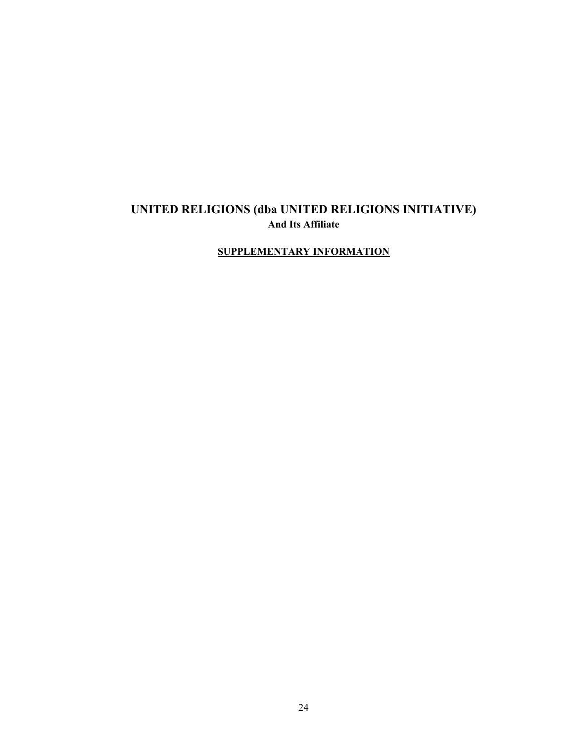# **SUPPLEMENTARY INFORMATION**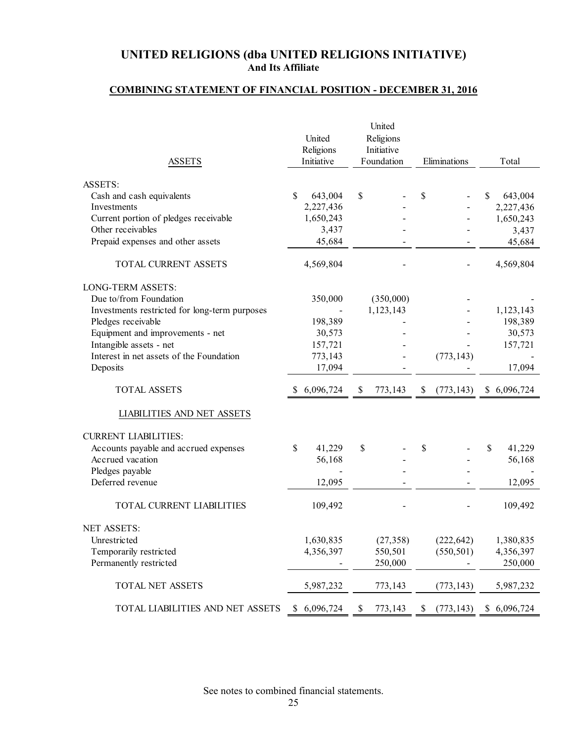# **COMBINING STATEMENT OF FINANCIAL POSITION - DECEMBER 31, 2016**

|                                               |    | United<br>Religions | United<br>Religions<br>Initiative |                  |                |             |
|-----------------------------------------------|----|---------------------|-----------------------------------|------------------|----------------|-------------|
| <b>ASSETS</b>                                 |    | Initiative          | Foundation                        | Eliminations     |                | Total       |
| <b>ASSETS:</b>                                |    |                     |                                   |                  |                |             |
| Cash and cash equivalents                     | \$ | 643,004             | \$                                | \$               | \$             | 643,004     |
| Investments                                   |    | 2,227,436           |                                   |                  |                | 2,227,436   |
| Current portion of pledges receivable         |    | 1,650,243           |                                   |                  |                | 1,650,243   |
| Other receivables                             |    | 3,437               |                                   |                  |                | 3,437       |
| Prepaid expenses and other assets             |    | 45,684              |                                   |                  |                | 45,684      |
| TOTAL CURRENT ASSETS                          |    | 4,569,804           |                                   |                  |                | 4,569,804   |
| LONG-TERM ASSETS:                             |    |                     |                                   |                  |                |             |
| Due to/from Foundation                        |    | 350,000             | (350,000)                         |                  |                |             |
| Investments restricted for long-term purposes |    |                     | 1,123,143                         |                  |                | 1,123,143   |
| Pledges receivable                            |    | 198,389             |                                   |                  |                | 198,389     |
| Equipment and improvements - net              |    | 30,573              |                                   |                  |                | 30,573      |
| Intangible assets - net                       |    | 157,721             |                                   |                  |                | 157,721     |
| Interest in net assets of the Foundation      |    | 773,143             |                                   | (773, 143)       |                |             |
| Deposits                                      |    | 17,094              |                                   |                  |                | 17,094      |
| <b>TOTAL ASSETS</b>                           | S. | 6,096,724           | \$<br>773,143                     | \$<br>(773, 143) | $\mathbb{S}^-$ | 6,096,724   |
| LIABILITIES AND NET ASSETS                    |    |                     |                                   |                  |                |             |
| <b>CURRENT LIABILITIES:</b>                   |    |                     |                                   |                  |                |             |
| Accounts payable and accrued expenses         | \$ | 41,229              | \$                                | \$               | \$             | 41,229      |
| Accrued vacation                              |    | 56,168              |                                   |                  |                | 56,168      |
| Pledges payable                               |    |                     |                                   |                  |                |             |
| Deferred revenue                              |    | 12,095              |                                   |                  |                | 12,095      |
| TOTAL CURRENT LIABILITIES                     |    | 109,492             |                                   |                  |                | 109,492     |
| <b>NET ASSETS:</b>                            |    |                     |                                   |                  |                |             |
| Unrestricted                                  |    | 1,630,835           | (27, 358)                         | (222, 642)       |                | 1,380,835   |
| Temporarily restricted                        |    | 4,356,397           | 550,501                           | (550, 501)       |                | 4,356,397   |
| Permanently restricted                        |    |                     | 250,000                           |                  |                | 250,000     |
| TOTAL NET ASSETS                              |    | 5,987,232           | 773,143                           | (773, 143)       |                | 5,987,232   |
| TOTAL LIABILITIES AND NET ASSETS              | \$ | 6,096,724           | \$<br>773,143                     | \$<br>(773, 143) |                | \$6,096,724 |